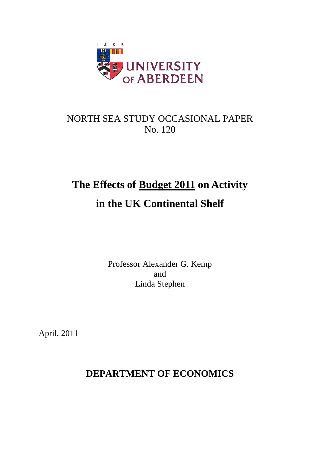

# NORTH SEA STUDY OCCASIONAL PAPER No. 120

# **The Effects of Budget 2011 on Activity in the UK Continental Shelf**

Professor Alexander G. Kemp and Linda Stephen

April, 2011

## **DEPARTMENT OF ECONOMICS**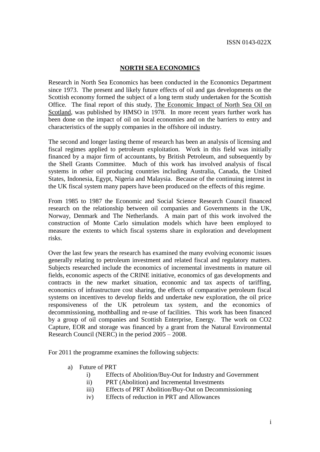#### **NORTH SEA ECONOMICS**

Research in North Sea Economics has been conducted in the Economics Department since 1973. The present and likely future effects of oil and gas developments on the Scottish economy formed the subject of a long term study undertaken for the Scottish Office. The final report of this study, The Economic Impact of North Sea Oil on Scotland, was published by HMSO in 1978. In more recent years further work has been done on the impact of oil on local economies and on the barriers to entry and characteristics of the supply companies in the offshore oil industry.

The second and longer lasting theme of research has been an analysis of licensing and fiscal regimes applied to petroleum exploitation. Work in this field was initially financed by a major firm of accountants, by British Petroleum, and subsequently by the Shell Grants Committee. Much of this work has involved analysis of fiscal systems in other oil producing countries including Australia, Canada, the United States, Indonesia, Egypt, Nigeria and Malaysia. Because of the continuing interest in the UK fiscal system many papers have been produced on the effects of this regime.

From 1985 to 1987 the Economic and Social Science Research Council financed research on the relationship between oil companies and Governments in the UK, Norway, Denmark and The Netherlands. A main part of this work involved the construction of Monte Carlo simulation models which have been employed to measure the extents to which fiscal systems share in exploration and development risks.

Over the last few years the research has examined the many evolving economic issues generally relating to petroleum investment and related fiscal and regulatory matters. Subjects researched include the economics of incremental investments in mature oil fields, economic aspects of the CRINE initiative, economics of gas developments and contracts in the new market situation, economic and tax aspects of tariffing, economics of infrastructure cost sharing, the effects of comparative petroleum fiscal systems on incentives to develop fields and undertake new exploration, the oil price responsiveness of the UK petroleum tax system, and the economics of decommissioning, mothballing and re-use of facilities. This work has been financed by a group of oil companies and Scottish Enterprise, Energy. The work on CO2 Capture, EOR and storage was financed by a grant from the Natural Environmental Research Council (NERC) in the period 2005 – 2008.

For 2011 the programme examines the following subjects:

- a) Future of PRT
	- i) Effects of Abolition/Buy-Out for Industry and Government
	- ii) PRT (Abolition) and Incremental Investments
	- iii) Effects of PRT Abolition/Buy-Out on Decommissioning
	- iv) Effects of reduction in PRT and Allowances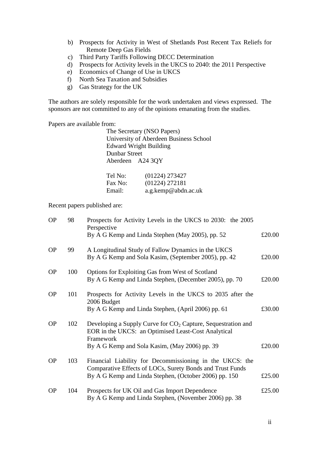- b) Prospects for Activity in West of Shetlands Post Recent Tax Reliefs for Remote Deep Gas Fields
- c) Third Party Tariffs Following DECC Determination
- d) Prospects for Activity levels in the UKCS to 2040: the 2011 Perspective
- e) Economics of Change of Use in UKCS
- f) North Sea Taxation and Subsidies
- g) Gas Strategy for the UK

The authors are solely responsible for the work undertaken and views expressed. The sponsors are not committed to any of the opinions emanating from the studies.

Papers are available from:

| The Secretary (NSO Papers)                       |
|--------------------------------------------------|
| University of Aberdeen Business School           |
| <b>Edward Wright Building</b>                    |
| <b>Dunbar Street</b>                             |
| Aberdeen A24 3OY                                 |
|                                                  |
| $(0.1224)$ 272427<br>$T_{\alpha}$ $N_{\alpha}$ . |

| TEL NO. | (01224) 213421      |
|---------|---------------------|
| Fax No: | (01224) 272181      |
| Email:  | a.g.kemp@abdn.ac.uk |

Recent papers published are:

| <b>OP</b> | 98  | Prospects for Activity Levels in the UKCS to 2030: the 2005<br>Perspective                                                         |        |
|-----------|-----|------------------------------------------------------------------------------------------------------------------------------------|--------|
|           |     | By A G Kemp and Linda Stephen (May 2005), pp. 52                                                                                   | £20.00 |
| <b>OP</b> | 99  | A Longitudinal Study of Fallow Dynamics in the UKCS<br>By A G Kemp and Sola Kasim, (September 2005), pp. 42                        | £20.00 |
| <b>OP</b> | 100 | Options for Exploiting Gas from West of Scotland<br>By A G Kemp and Linda Stephen, (December 2005), pp. 70                         | £20.00 |
| <b>OP</b> | 101 | Prospects for Activity Levels in the UKCS to 2035 after the<br>2006 Budget<br>By A G Kemp and Linda Stephen, (April 2006) pp. 61   | £30.00 |
|           |     |                                                                                                                                    |        |
| <b>OP</b> | 102 | Developing a Supply Curve for $CO2$ Capture, Sequestration and<br>EOR in the UKCS: an Optimised Least-Cost Analytical<br>Framework |        |
|           |     | By A G Kemp and Sola Kasim, (May 2006) pp. 39                                                                                      | £20.00 |
| <b>OP</b> | 103 | Financial Liability for Decommissioning in the UKCS: the<br>Comparative Effects of LOCs, Surety Bonds and Trust Funds              |        |
|           |     | By A G Kemp and Linda Stephen, (October 2006) pp. 150                                                                              | £25.00 |
| <b>OP</b> | 104 | Prospects for UK Oil and Gas Import Dependence<br>By A G Kemp and Linda Stephen, (November 2006) pp. 38                            | £25.00 |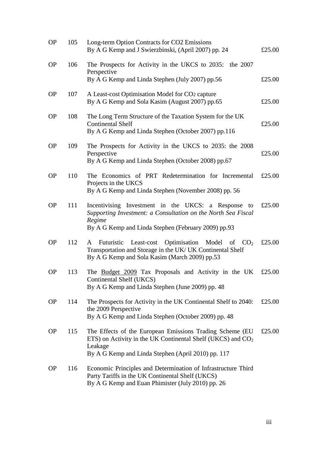| <b>OP</b> | 105 | Long-term Option Contracts for CO2 Emissions<br>By A G Kemp and J Swierzbinski, (April 2007) pp. 24                                                                                         | £25.00 |
|-----------|-----|---------------------------------------------------------------------------------------------------------------------------------------------------------------------------------------------|--------|
| <b>OP</b> | 106 | The Prospects for Activity in the UKCS to 2035: the 2007<br>Perspective<br>By A G Kemp and Linda Stephen (July 2007) pp.56                                                                  | £25.00 |
| <b>OP</b> | 107 | A Least-cost Optimisation Model for CO2 capture<br>By A G Kemp and Sola Kasim (August 2007) pp.65                                                                                           | £25.00 |
| <b>OP</b> | 108 | The Long Term Structure of the Taxation System for the UK<br><b>Continental Shelf</b><br>By A G Kemp and Linda Stephen (October 2007) pp.116                                                | £25.00 |
| <b>OP</b> | 109 | The Prospects for Activity in the UKCS to 2035: the 2008<br>Perspective<br>By A G Kemp and Linda Stephen (October 2008) pp.67                                                               | £25.00 |
| <b>OP</b> | 110 | The Economics of PRT Redetermination for Incremental<br>Projects in the UKCS<br>By A G Kemp and Linda Stephen (November 2008) pp. 56                                                        | £25.00 |
| <b>OP</b> | 111 | Incentivising Investment in the UKCS: a Response<br>to<br>Supporting Investment: a Consultation on the North Sea Fiscal<br>Regime<br>By A G Kemp and Linda Stephen (February 2009) pp.93    | £25.00 |
| <b>OP</b> | 112 | Futuristic Least-cost Optimisation Model of $CO2$<br>A<br>Transportation and Storage in the UK/ UK Continental Shelf<br>By A G Kemp and Sola Kasim (March 2009) pp.53                       | £25.00 |
| <b>OP</b> | 113 | The Budget 2009 Tax Proposals and Activity in the UK<br>Continental Shelf (UKCS)<br>By A G Kemp and Linda Stephen (June 2009) pp. 48                                                        | £25.00 |
| <b>OP</b> | 114 | The Prospects for Activity in the UK Continental Shelf to 2040:<br>the 2009 Perspective<br>By A G Kemp and Linda Stephen (October 2009) pp. 48                                              | £25.00 |
| <b>OP</b> | 115 | The Effects of the European Emissions Trading Scheme (EU)<br>ETS) on Activity in the UK Continental Shelf (UKCS) and $CO2$<br>Leakage<br>By A G Kemp and Linda Stephen (April 2010) pp. 117 | £25.00 |
| <b>OP</b> | 116 | Economic Principles and Determination of Infrastructure Third<br>Party Tariffs in the UK Continental Shelf (UKCS)<br>By A G Kemp and Euan Phimister (July 2010) pp. 26                      |        |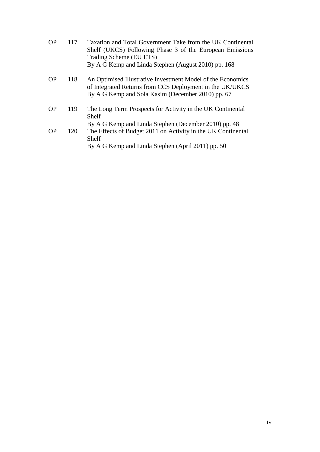| <b>OP</b> | 117 | Taxation and Total Government Take from the UK Continental<br>Shelf (UKCS) Following Phase 3 of the European Emissions<br>Trading Scheme (EU ETS)<br>By A G Kemp and Linda Stephen (August 2010) pp. 168 |
|-----------|-----|----------------------------------------------------------------------------------------------------------------------------------------------------------------------------------------------------------|
| <b>OP</b> | 118 | An Optimised Illustrative Investment Model of the Economics<br>of Integrated Returns from CCS Deployment in the UK/UKCS<br>By A G Kemp and Sola Kasim (December 2010) pp. 67                             |
| <b>OP</b> | 119 | The Long Term Prospects for Activity in the UK Continental<br>Shelf                                                                                                                                      |
| <b>OP</b> | 120 | By A G Kemp and Linda Stephen (December 2010) pp. 48<br>The Effects of Budget 2011 on Activity in the UK Continental<br>Shelf<br>By A G Kemp and Linda Stephen (April 2011) pp. 50                       |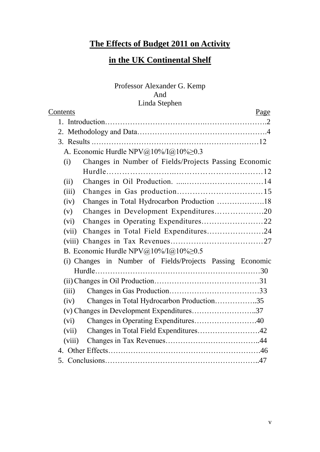### **The Effects of Budget 2011 on Activity**

### **in the UK Continental Shelf**

### Professor Alexander G. Kemp And Linda Stephen

| Contents |                                                           | Page |
|----------|-----------------------------------------------------------|------|
|          |                                                           |      |
|          |                                                           |      |
|          |                                                           |      |
|          | A. Economic Hurdle NPV@10%/I@10%>0.3                      |      |
| (i)      | Changes in Number of Fields/Projects Passing Economic     |      |
|          |                                                           |      |
| (ii)     |                                                           |      |
| (iii)    |                                                           |      |
| (iv)     |                                                           |      |
| (v)      | Changes in Development Expenditures20                     |      |
| (vi)     |                                                           |      |
| (vii)    | Changes in Total Field Expenditures24                     |      |
|          |                                                           |      |
|          | B. Economic Hurdle NPV@10%/I@10% $\geq$ 0.5               |      |
|          | (i) Changes in Number of Fields/Projects Passing Economic |      |
|          |                                                           |      |
|          |                                                           |      |
| (iii)    |                                                           |      |
| (iv)     | Changes in Total Hydrocarbon Production35                 |      |
|          | (v) Changes in Development Expenditures37                 |      |
| (vi)     | Changes in Operating Expenditures40                       |      |
| (vii)    | Changes in Total Field Expenditures42                     |      |
| (viii)   |                                                           |      |
|          |                                                           |      |
|          |                                                           |      |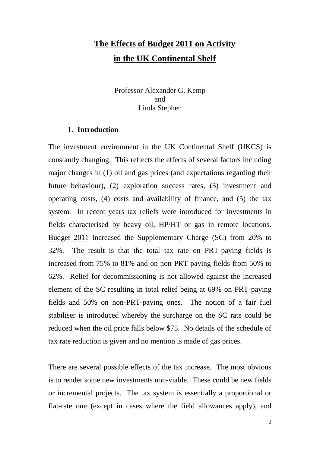# **The Effects of Budget 2011 on Activity in the UK Continental Shelf**

Professor Alexander G. Kemp and Linda Stephen

#### **1. Introduction**

The investment environment in the UK Continental Shelf (UKCS) is constantly changing. This reflects the effects of several factors including major changes in (1) oil and gas prices (and expectations regarding their future behaviour), (2) exploration success rates, (3) investment and operating costs, (4) costs and availability of finance, and (5) the tax system. In recent years tax reliefs were introduced for investments in fields characterised by heavy oil, HP/HT or gas in remote locations. Budget 2011 increased the Supplementary Charge (SC) from 20% to 32%. The result is that the total tax rate on PRT-paying fields is increased from 75% to 81% and on non-PRT paying fields from 50% to 62%. Relief for decommissioning is not allowed against the increased element of the SC resulting in total relief being at 69% on PRT-paying fields and 50% on non-PRT-paying ones. The notion of a fair fuel stabiliser is introduced whereby the surcharge on the SC rate could be reduced when the oil price falls below \$75. No details of the schedule of tax rate reduction is given and no mention is made of gas prices.

There are several possible effects of the tax increase. The most obvious is to render some new investments non-viable. These could be new fields or incremental projects. The tax system is essentially a proportional or flat-rate one (except in cases where the field allowances apply), and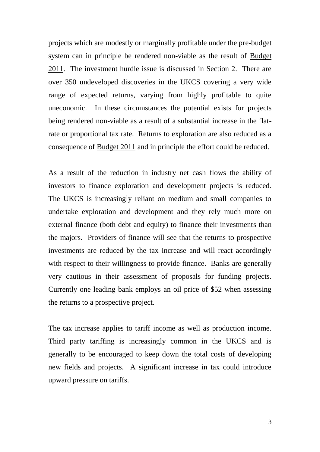projects which are modestly or marginally profitable under the pre-budget system can in principle be rendered non-viable as the result of Budget 2011. The investment hurdle issue is discussed in Section 2. There are over 350 undeveloped discoveries in the UKCS covering a very wide range of expected returns, varying from highly profitable to quite uneconomic. In these circumstances the potential exists for projects being rendered non-viable as a result of a substantial increase in the flatrate or proportional tax rate. Returns to exploration are also reduced as a consequence of Budget 2011 and in principle the effort could be reduced.

As a result of the reduction in industry net cash flows the ability of investors to finance exploration and development projects is reduced. The UKCS is increasingly reliant on medium and small companies to undertake exploration and development and they rely much more on external finance (both debt and equity) to finance their investments than the majors. Providers of finance will see that the returns to prospective investments are reduced by the tax increase and will react accordingly with respect to their willingness to provide finance. Banks are generally very cautious in their assessment of proposals for funding projects. Currently one leading bank employs an oil price of \$52 when assessing the returns to a prospective project.

The tax increase applies to tariff income as well as production income. Third party tariffing is increasingly common in the UKCS and is generally to be encouraged to keep down the total costs of developing new fields and projects. A significant increase in tax could introduce upward pressure on tariffs.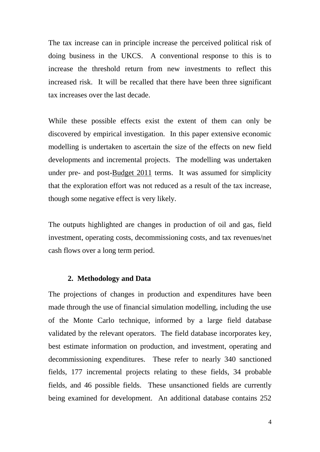The tax increase can in principle increase the perceived political risk of doing business in the UKCS. A conventional response to this is to increase the threshold return from new investments to reflect this increased risk. It will be recalled that there have been three significant tax increases over the last decade.

While these possible effects exist the extent of them can only be discovered by empirical investigation. In this paper extensive economic modelling is undertaken to ascertain the size of the effects on new field developments and incremental projects. The modelling was undertaken under pre- and post-Budget 2011 terms. It was assumed for simplicity that the exploration effort was not reduced as a result of the tax increase, though some negative effect is very likely.

The outputs highlighted are changes in production of oil and gas, field investment, operating costs, decommissioning costs, and tax revenues/net cash flows over a long term period.

#### **2. Methodology and Data**

The projections of changes in production and expenditures have been made through the use of financial simulation modelling, including the use of the Monte Carlo technique, informed by a large field database validated by the relevant operators. The field database incorporates key, best estimate information on production, and investment, operating and decommissioning expenditures. These refer to nearly 340 sanctioned fields, 177 incremental projects relating to these fields, 34 probable fields, and 46 possible fields. These unsanctioned fields are currently being examined for development. An additional database contains 252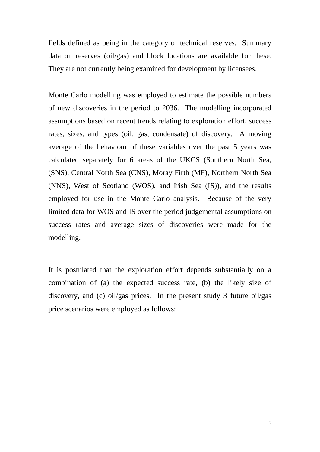fields defined as being in the category of technical reserves. Summary data on reserves (oil/gas) and block locations are available for these. They are not currently being examined for development by licensees.

Monte Carlo modelling was employed to estimate the possible numbers of new discoveries in the period to 2036. The modelling incorporated assumptions based on recent trends relating to exploration effort, success rates, sizes, and types (oil, gas, condensate) of discovery. A moving average of the behaviour of these variables over the past 5 years was calculated separately for 6 areas of the UKCS (Southern North Sea, (SNS), Central North Sea (CNS), Moray Firth (MF), Northern North Sea (NNS), West of Scotland (WOS), and Irish Sea (IS)), and the results employed for use in the Monte Carlo analysis. Because of the very limited data for WOS and IS over the period judgemental assumptions on success rates and average sizes of discoveries were made for the modelling.

It is postulated that the exploration effort depends substantially on a combination of (a) the expected success rate, (b) the likely size of discovery, and (c) oil/gas prices. In the present study 3 future oil/gas price scenarios were employed as follows: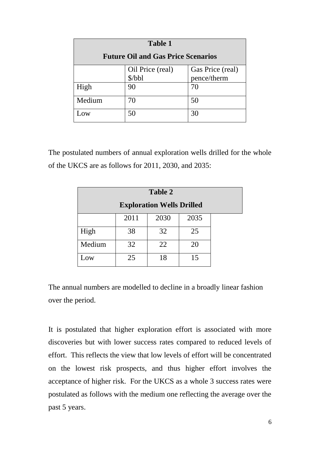| <b>Table 1</b>                            |        |             |  |  |  |
|-------------------------------------------|--------|-------------|--|--|--|
| <b>Future Oil and Gas Price Scenarios</b> |        |             |  |  |  |
| Gas Price (real)<br>Oil Price (real)      |        |             |  |  |  |
|                                           | \$/bbl | pence/therm |  |  |  |
| High                                      | 90     | 70          |  |  |  |
| Medium                                    | 70     | 50          |  |  |  |
| $\overline{OW}$                           | 50     | 30          |  |  |  |

The postulated numbers of annual exploration wells drilled for the whole of the UKCS are as follows for 2011, 2030, and 2035:

| Table 2                          |      |      |      |  |
|----------------------------------|------|------|------|--|
| <b>Exploration Wells Drilled</b> |      |      |      |  |
|                                  | 2011 | 2030 | 2035 |  |
| High                             | 38   | 32   | 25   |  |
| Medium                           | 32   | 22   | 20   |  |
| Low                              | 25   | 18   | 15   |  |

The annual numbers are modelled to decline in a broadly linear fashion over the period.

It is postulated that higher exploration effort is associated with more discoveries but with lower success rates compared to reduced levels of effort. This reflects the view that low levels of effort will be concentrated on the lowest risk prospects, and thus higher effort involves the acceptance of higher risk. For the UKCS as a whole 3 success rates were postulated as follows with the medium one reflecting the average over the past 5 years.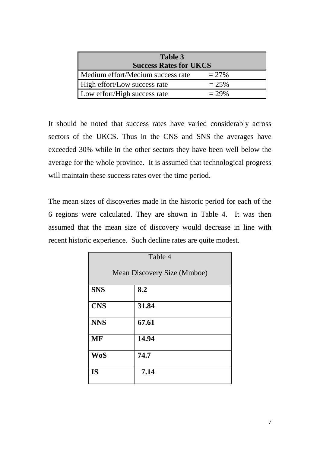| Table 3                           |          |  |  |
|-----------------------------------|----------|--|--|
| <b>Success Rates for UKCS</b>     |          |  |  |
| Medium effort/Medium success rate | $= 27\%$ |  |  |
| High effort/Low success rate      | $= 25\%$ |  |  |
| Low effort/High success rate      | $= 29%$  |  |  |

It should be noted that success rates have varied considerably across sectors of the UKCS. Thus in the CNS and SNS the averages have exceeded 30% while in the other sectors they have been well below the average for the whole province. It is assumed that technological progress will maintain these success rates over the time period.

The mean sizes of discoveries made in the historic period for each of the 6 regions were calculated. They are shown in Table 4. It was then assumed that the mean size of discovery would decrease in line with recent historic experience. Such decline rates are quite modest.

| Table 4                            |       |  |  |
|------------------------------------|-------|--|--|
| <b>Mean Discovery Size (Mmboe)</b> |       |  |  |
| <b>SNS</b>                         | 8.2   |  |  |
| <b>CNS</b>                         | 31.84 |  |  |
| <b>NNS</b>                         | 67.61 |  |  |
| <b>MF</b>                          | 14.94 |  |  |
| <b>WoS</b>                         | 74.7  |  |  |
| <b>IS</b>                          | 7.14  |  |  |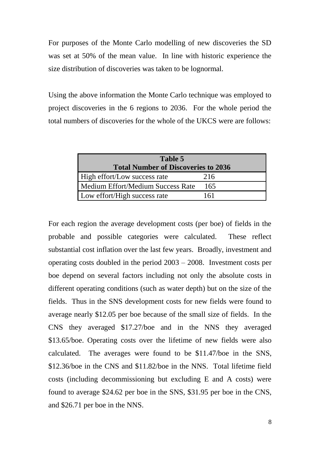For purposes of the Monte Carlo modelling of new discoveries the SD was set at 50% of the mean value. In line with historic experience the size distribution of discoveries was taken to be lognormal.

Using the above information the Monte Carlo technique was employed to project discoveries in the 6 regions to 2036. For the whole period the total numbers of discoveries for the whole of the UKCS were are follows:

| Table 5                                    |     |  |  |
|--------------------------------------------|-----|--|--|
| <b>Total Number of Discoveries to 2036</b> |     |  |  |
| High effort/Low success rate               | 216 |  |  |
| Medium Effort/Medium Success Rate          | 165 |  |  |
| Low effort/High success rate               | 161 |  |  |

For each region the average development costs (per boe) of fields in the probable and possible categories were calculated. These reflect substantial cost inflation over the last few years. Broadly, investment and operating costs doubled in the period 2003 – 2008. Investment costs per boe depend on several factors including not only the absolute costs in different operating conditions (such as water depth) but on the size of the fields. Thus in the SNS development costs for new fields were found to average nearly \$12.05 per boe because of the small size of fields. In the CNS they averaged \$17.27/boe and in the NNS they averaged \$13.65/boe. Operating costs over the lifetime of new fields were also calculated. The averages were found to be \$11.47/boe in the SNS, \$12.36/boe in the CNS and \$11.82/boe in the NNS. Total lifetime field costs (including decommissioning but excluding E and A costs) were found to average \$24.62 per boe in the SNS, \$31.95 per boe in the CNS, and \$26.71 per boe in the NNS.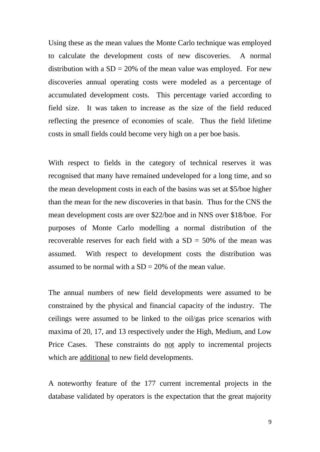Using these as the mean values the Monte Carlo technique was employed to calculate the development costs of new discoveries. A normal distribution with a  $SD = 20\%$  of the mean value was employed. For new discoveries annual operating costs were modeled as a percentage of accumulated development costs. This percentage varied according to field size. It was taken to increase as the size of the field reduced reflecting the presence of economies of scale. Thus the field lifetime costs in small fields could become very high on a per boe basis.

With respect to fields in the category of technical reserves it was recognised that many have remained undeveloped for a long time, and so the mean development costs in each of the basins was set at \$5/boe higher than the mean for the new discoveries in that basin. Thus for the CNS the mean development costs are over \$22/boe and in NNS over \$18/boe. For purposes of Monte Carlo modelling a normal distribution of the recoverable reserves for each field with a  $SD = 50\%$  of the mean was assumed. With respect to development costs the distribution was assumed to be normal with a  $SD = 20\%$  of the mean value.

The annual numbers of new field developments were assumed to be constrained by the physical and financial capacity of the industry. The ceilings were assumed to be linked to the oil/gas price scenarios with maxima of 20, 17, and 13 respectively under the High, Medium, and Low Price Cases. These constraints do not apply to incremental projects which are additional to new field developments.

A noteworthy feature of the 177 current incremental projects in the database validated by operators is the expectation that the great majority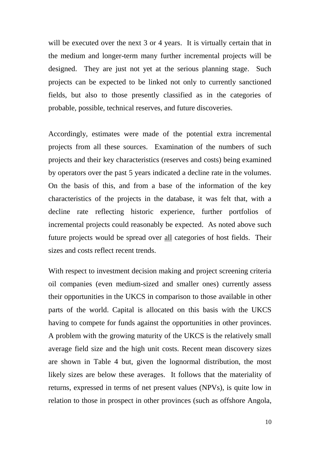will be executed over the next 3 or 4 years. It is virtually certain that in the medium and longer-term many further incremental projects will be designed. They are just not yet at the serious planning stage. Such projects can be expected to be linked not only to currently sanctioned fields, but also to those presently classified as in the categories of probable, possible, technical reserves, and future discoveries.

Accordingly, estimates were made of the potential extra incremental projects from all these sources. Examination of the numbers of such projects and their key characteristics (reserves and costs) being examined by operators over the past 5 years indicated a decline rate in the volumes. On the basis of this, and from a base of the information of the key characteristics of the projects in the database, it was felt that, with a decline rate reflecting historic experience, further portfolios of incremental projects could reasonably be expected. As noted above such future projects would be spread over all categories of host fields. Their sizes and costs reflect recent trends.

With respect to investment decision making and project screening criteria oil companies (even medium-sized and smaller ones) currently assess their opportunities in the UKCS in comparison to those available in other parts of the world. Capital is allocated on this basis with the UKCS having to compete for funds against the opportunities in other provinces. A problem with the growing maturity of the UKCS is the relatively small average field size and the high unit costs. Recent mean discovery sizes are shown in Table 4 but, given the lognormal distribution, the most likely sizes are below these averages. It follows that the materiality of returns, expressed in terms of net present values (NPVs), is quite low in relation to those in prospect in other provinces (such as offshore Angola,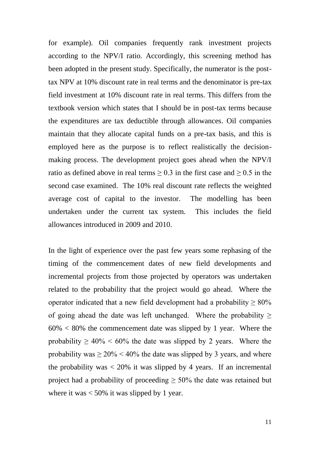for example). Oil companies frequently rank investment projects according to the NPV/I ratio. Accordingly, this screening method has been adopted in the present study. Specifically, the numerator is the posttax NPV at 10% discount rate in real terms and the denominator is pre-tax field investment at 10% discount rate in real terms. This differs from the textbook version which states that I should be in post-tax terms because the expenditures are tax deductible through allowances. Oil companies maintain that they allocate capital funds on a pre-tax basis, and this is employed here as the purpose is to reflect realistically the decisionmaking process. The development project goes ahead when the NPV/I ratio as defined above in real terms  $\geq 0.3$  in the first case and  $\geq 0.5$  in the second case examined. The 10% real discount rate reflects the weighted average cost of capital to the investor. The modelling has been undertaken under the current tax system. This includes the field allowances introduced in 2009 and 2010.

In the light of experience over the past few years some rephasing of the timing of the commencement dates of new field developments and incremental projects from those projected by operators was undertaken related to the probability that the project would go ahead. Where the operator indicated that a new field development had a probability  $\geq 80\%$ of going ahead the date was left unchanged. Where the probability  $\geq$  $60\% < 80\%$  the commencement date was slipped by 1 year. Where the probability  $\geq 40\% \leq 60\%$  the date was slipped by 2 years. Where the probability was  $\geq 20\%$  < 40% the date was slipped by 3 years, and where the probability was  $\langle 20\%$  it was slipped by 4 years. If an incremental project had a probability of proceeding  $\geq$  50% the date was retained but where it was  $< 50\%$  it was slipped by 1 year.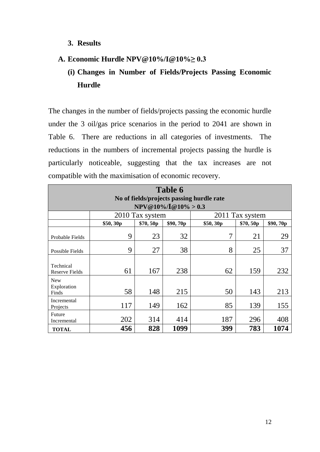#### **3. Results**

### **A. Economic Hurdle NPV@10%/I@10%≥ 0.3**

### **(i) Changes in Number of Fields/Projects Passing Economic Hurdle**

The changes in the number of fields/projects passing the economic hurdle under the 3 oil/gas price scenarios in the period to 2041 are shown in Table 6. There are reductions in all categories of investments. The reductions in the numbers of incremental projects passing the hurdle is particularly noticeable, suggesting that the tax increases are not compatible with the maximisation of economic recovery.

| Table 6                                                              |          |                 |          |          |                 |          |  |
|----------------------------------------------------------------------|----------|-----------------|----------|----------|-----------------|----------|--|
| No of fields/projects passing hurdle rate<br>$NPV@10\%/I@10\% > 0.3$ |          |                 |          |          |                 |          |  |
|                                                                      |          | 2010 Tax system |          |          | 2011 Tax system |          |  |
|                                                                      | \$50,30p | \$70,50p        | \$90,70p | \$50,30p | \$70,50p        | \$90,70p |  |
| Probable Fields                                                      | 9        | 23              | 32       | 7        | 21              | 29       |  |
| Possible Fields                                                      | 9        | 27              | 38       | 8        | 25              | 37       |  |
| Technical<br><b>Reserve Fields</b>                                   | 61       | 167             | 238      | 62       | 159             | 232      |  |
| <b>New</b><br>Exploration<br>Finds                                   | 58       | 148             | 215      | 50       | 143             | 213      |  |
| Incremental<br>Projects                                              | 117      | 149             | 162      | 85       | 139             | 155      |  |
| Future<br>Incremental                                                | 202      | 314             | 414      | 187      | 296             | 408      |  |
| <b>TOTAL</b>                                                         | 456      | 828             | 1099     | 399      | 783             | 1074     |  |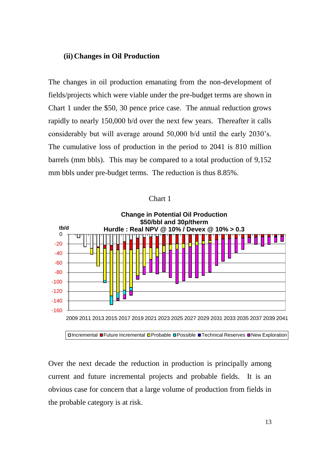#### **(ii) Changes in Oil Production**

The changes in oil production emanating from the non-development of fields/projects which were viable under the pre-budget terms are shown in Chart 1 under the \$50, 30 pence price case. The annual reduction grows rapidly to nearly 150,000 b/d over the next few years. Thereafter it calls considerably but will average around 50,000 b/d until the early 2030's. The cumulative loss of production in the period to 2041 is 810 million barrels (mm bbls). This may be compared to a total production of 9,152 mm bbls under pre-budget terms. The reduction is thus 8.85%.



#### Chart 1

**DIncremental ■Future Incremental OProbable OPossible OTechnical Reserves ONew Exploration** 

Over the next decade the reduction in production is principally among current and future incremental projects and probable fields. It is an obvious case for concern that a large volume of production from fields in the probable category is at risk.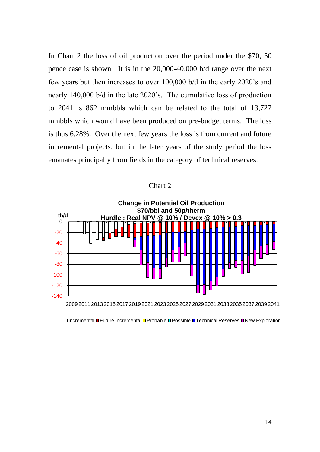In Chart 2 the loss of oil production over the period under the \$70, 50 pence case is shown. It is in the 20,000-40,000 b/d range over the next few years but then increases to over 100,000 b/d in the early 2020's and nearly 140,000 b/d in the late 2020's. The cumulative loss of production to 2041 is 862 mmbbls which can be related to the total of 13,727 mmbbls which would have been produced on pre-budget terms. The loss is thus 6.28%. Over the next few years the loss is from current and future incremental projects, but in the later years of the study period the loss emanates principally from fields in the category of technical reserves.





**DIncremental ■ Future Incremental OProbable OPossible OTechnical Reserves ONew Exploration**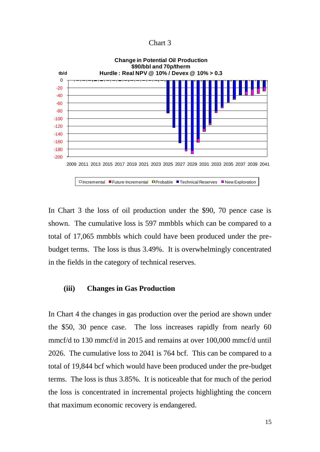Chart 3



In Chart 3 the loss of oil production under the \$90, 70 pence case is shown. The cumulative loss is 597 mmbbls which can be compared to a total of 17,065 mmbbls which could have been produced under the prebudget terms. The loss is thus 3.49%. It is overwhelmingly concentrated in the fields in the category of technical reserves.

#### **(iii) Changes in Gas Production**

In Chart 4 the changes in gas production over the period are shown under the \$50, 30 pence case. The loss increases rapidly from nearly 60 mmcf/d to 130 mmcf/d in 2015 and remains at over 100,000 mmcf/d until 2026. The cumulative loss to 2041 is 764 bcf. This can be compared to a total of 19,844 bcf which would have been produced under the pre-budget terms. The loss is thus 3.85%. It is noticeable that for much of the period the loss is concentrated in incremental projects highlighting the concern that maximum economic recovery is endangered.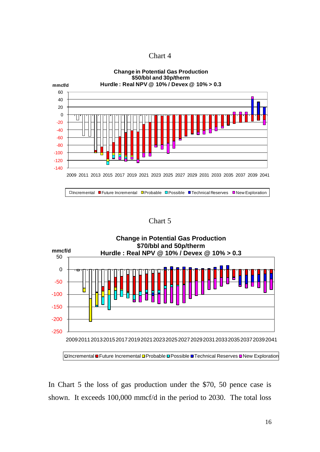| Chart 4 |  |
|---------|--|
|---------|--|



Chart 5



In Chart 5 the loss of gas production under the \$70, 50 pence case is shown. It exceeds 100,000 mmcf/d in the period to 2030. The total loss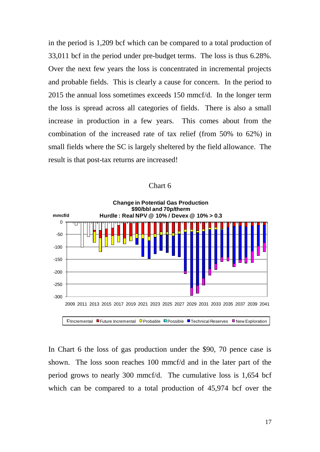in the period is 1,209 bcf which can be compared to a total production of 33,011 bcf in the period under pre-budget terms. The loss is thus 6.28%. Over the next few years the loss is concentrated in incremental projects and probable fields. This is clearly a cause for concern. In the period to 2015 the annual loss sometimes exceeds 150 mmcf/d. In the longer term the loss is spread across all categories of fields. There is also a small increase in production in a few years. This comes about from the combination of the increased rate of tax relief (from 50% to 62%) in small fields where the SC is largely sheltered by the field allowance. The result is that post-tax returns are increased!



Chart 6

In Chart 6 the loss of gas production under the \$90, 70 pence case is shown. The loss soon reaches 100 mmcf/d and in the later part of the period grows to nearly 300 mmcf/d. The cumulative loss is 1,654 bcf which can be compared to a total production of 45,974 bcf over the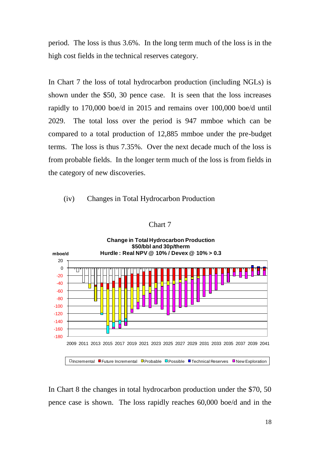period. The loss is thus 3.6%. In the long term much of the loss is in the high cost fields in the technical reserves category.

In Chart 7 the loss of total hydrocarbon production (including NGLs) is shown under the \$50, 30 pence case. It is seen that the loss increases rapidly to 170,000 boe/d in 2015 and remains over 100,000 boe/d until 2029. The total loss over the period is 947 mmboe which can be compared to a total production of 12,885 mmboe under the pre-budget terms. The loss is thus 7.35%. Over the next decade much of the loss is from probable fields. In the longer term much of the loss is from fields in the category of new discoveries.

#### (iv) Changes in Total Hydrocarbon Production



#### Chart 7

In Chart 8 the changes in total hydrocarbon production under the \$70, 50 pence case is shown. The loss rapidly reaches 60,000 boe/d and in the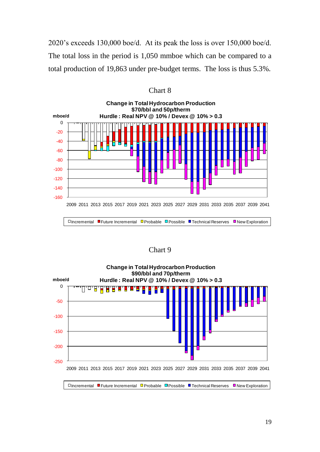2020's exceeds 130,000 boe/d. At its peak the loss is over 150,000 boe/d. The total loss in the period is 1,050 mmboe which can be compared to a total production of 19,863 under pre-budget terms. The loss is thus 5.3%.



Chart 8

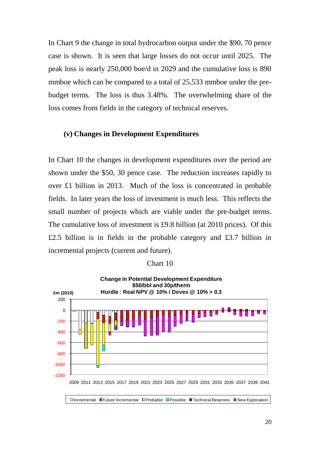In Chart 9 the change in total hydrocarbon output under the \$90, 70 pence case is shown. It is seen that large losses do not occur until 2025. The peak loss is nearly 250,000 boe/d in 2029 and the cumulative loss is 890 mmboe which can be compared to a total of 25,533 mmboe under the prebudget terms. The loss is thus 3.48%. The overwhelming share of the loss comes from fields in the category of technical reserves.

#### **(v) Changes in Development Expenditures**

In Chart 10 the changes in development expenditures over the period are shown under the \$50, 30 pence case. The reduction increases rapidly to over £1 billion in 2013. Much of the loss is concentrated in probable fields. In later years the loss of investment is much less. This reflects the small number of projects which are viable under the pre-budget terms. The cumulative loss of investment is £9.8 billion (at 2010 prices). Of this £2.5 billion is in fields in the probable category and £3.7 billion in incremental projects (current and future).



#### Chart 10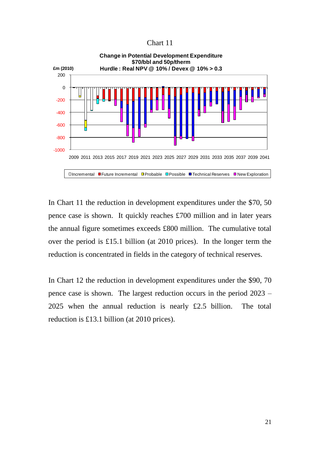Chart 11



In Chart 11 the reduction in development expenditures under the \$70, 50 pence case is shown. It quickly reaches £700 million and in later years the annual figure sometimes exceeds £800 million. The cumulative total over the period is £15.1 billion (at 2010 prices). In the longer term the reduction is concentrated in fields in the category of technical reserves.

In Chart 12 the reduction in development expenditures under the \$90, 70 pence case is shown. The largest reduction occurs in the period 2023 – 2025 when the annual reduction is nearly £2.5 billion. The total reduction is £13.1 billion (at 2010 prices).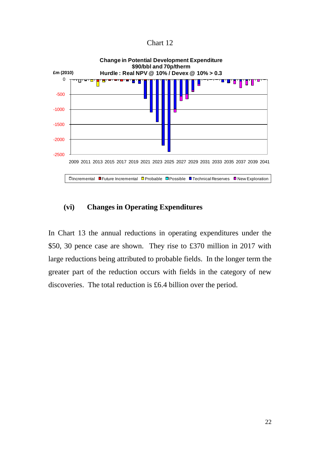Chart 12



#### **(vi) Changes in Operating Expenditures**

In Chart 13 the annual reductions in operating expenditures under the \$50, 30 pence case are shown. They rise to £370 million in 2017 with large reductions being attributed to probable fields. In the longer term the greater part of the reduction occurs with fields in the category of new discoveries. The total reduction is £6.4 billion over the period.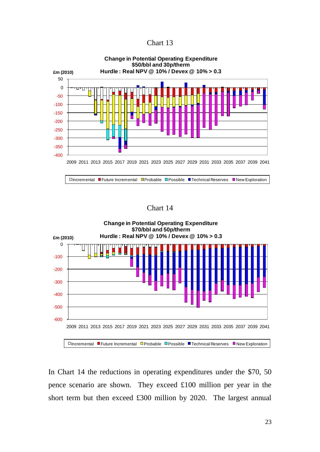| Chart 13 |  |
|----------|--|
|----------|--|



Chart 14



In Chart 14 the reductions in operating expenditures under the \$70, 50 pence scenario are shown. They exceed £100 million per year in the short term but then exceed £300 million by 2020. The largest annual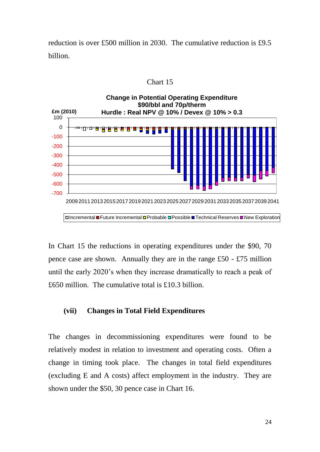reduction is over £500 million in 2030. The cumulative reduction is £9.5 billion.



Chart 15

In Chart 15 the reductions in operating expenditures under the \$90, 70 pence case are shown. Annually they are in the range £50 - £75 million until the early 2020's when they increase dramatically to reach a peak of £650 million. The cumulative total is £10.3 billion.

#### **(vii) Changes in Total Field Expenditures**

The changes in decommissioning expenditures were found to be relatively modest in relation to investment and operating costs. Often a change in timing took place. The changes in total field expenditures (excluding E and A costs) affect employment in the industry. They are shown under the \$50, 30 pence case in Chart 16.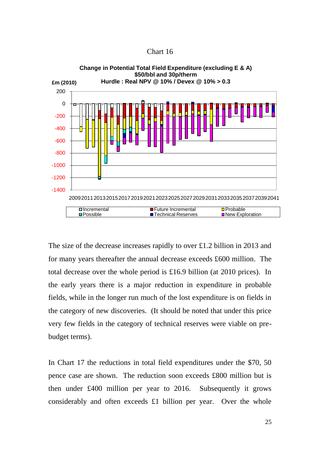Chart 16



The size of the decrease increases rapidly to over £1.2 billion in 2013 and for many years thereafter the annual decrease exceeds £600 million. The total decrease over the whole period is £16.9 billion (at 2010 prices). In the early years there is a major reduction in expenditure in probable fields, while in the longer run much of the lost expenditure is on fields in the category of new discoveries. (It should be noted that under this price very few fields in the category of technical reserves were viable on prebudget terms).

In Chart 17 the reductions in total field expenditures under the \$70, 50 pence case are shown. The reduction soon exceeds £800 million but is then under £400 million per year to 2016. Subsequently it grows considerably and often exceeds £1 billion per year. Over the whole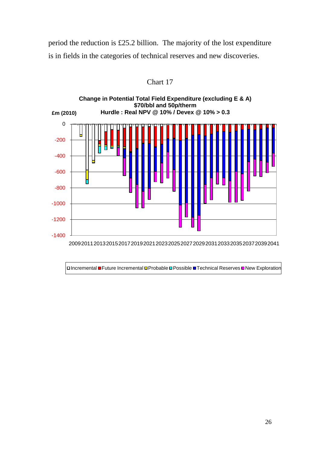period the reduction is £25.2 billion. The majority of the lost expenditure is in fields in the categories of technical reserves and new discoveries.



Chart 17

**¤Incremental ■ Future Incremental ¤ Probable ¤ Possible ■ Technical Reserves ■ New Exploration**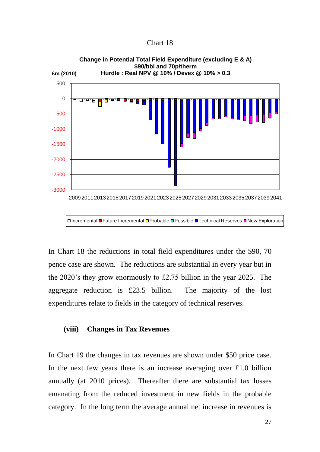Chart 18



DIncremental ■Future Incremental **D**Probable DPossible ■Technical Reserves DNew Exploration

In Chart 18 the reductions in total field expenditures under the \$90, 70 pence case are shown. The reductions are substantial in every year but in the 2020's they grow enormously to £2.75 billion in the year 2025. The aggregate reduction is £23.5 billion. The majority of the lost expenditures relate to fields in the category of technical reserves.

#### **(viii) Changes in Tax Revenues**

In Chart 19 the changes in tax revenues are shown under \$50 price case. In the next few years there is an increase averaging over  $\pounds1.0$  billion annually (at 2010 prices). Thereafter there are substantial tax losses emanating from the reduced investment in new fields in the probable category. In the long term the average annual net increase in revenues is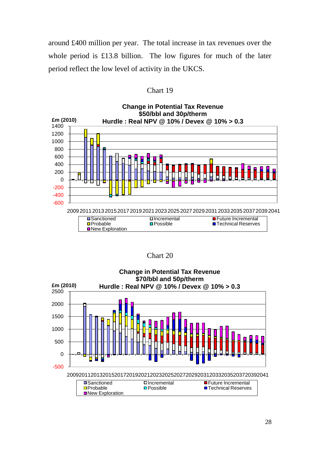around £400 million per year. The total increase in tax revenues over the whole period is £13.8 billion. The low figures for much of the later period reflect the low level of activity in the UKCS.

| Chart 19 |  |
|----------|--|
|----------|--|



Chart 20

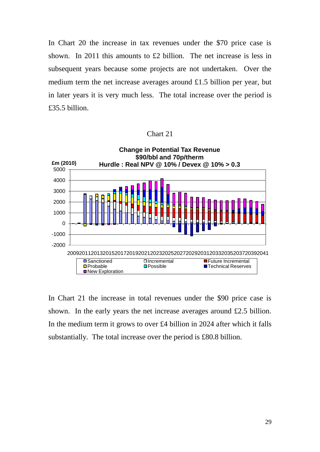In Chart 20 the increase in tax revenues under the \$70 price case is shown. In 2011 this amounts to £2 billion. The net increase is less in subsequent years because some projects are not undertaken. Over the medium term the net increase averages around £1.5 billion per year, but in later years it is very much less. The total increase over the period is £35.5 billion.





In Chart 21 the increase in total revenues under the \$90 price case is shown. In the early years the net increase averages around £2.5 billion. In the medium term it grows to over £4 billion in 2024 after which it falls substantially. The total increase over the period is £80.8 billion.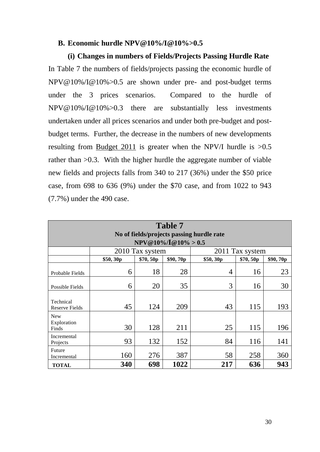#### **B. Economic hurdle NPV@10%/I@10%>0.5**

**(i) Changes in numbers of Fields/Projects Passing Hurdle Rate** In Table 7 the numbers of fields/projects passing the economic hurdle of NPV@10%/I@10%>0.5 are shown under pre- and post-budget terms under the 3 prices scenarios. Compared to the hurdle of NPV@10%/I@10%>0.3 there are substantially less investments undertaken under all prices scenarios and under both pre-budget and postbudget terms. Further, the decrease in the numbers of new developments resulting from Budget 2011 is greater when the NPV/I hurdle is >0.5 rather than >0.3. With the higher hurdle the aggregate number of viable new fields and projects falls from 340 to 217 (36%) under the \$50 price case, from 698 to 636 (9%) under the \$70 case, and from 1022 to 943 (7.7%) under the 490 case.

| <b>Table 7</b><br>No of fields/projects passing hurdle rate<br>$NPV@10\%/I@10\% > 0.5$ |          |                 |          |          |                 |          |  |
|----------------------------------------------------------------------------------------|----------|-----------------|----------|----------|-----------------|----------|--|
|                                                                                        |          | 2010 Tax system |          |          | 2011 Tax system |          |  |
|                                                                                        | \$50,30p | \$70,50p        | \$90,70p | \$50,30p | \$70,50p        | \$90,70p |  |
| Probable Fields                                                                        | 6        | 18              | 28       | 4        | 16              | 23       |  |
| Possible Fields                                                                        | 6        | 20              | 35       | 3        | 16              | 30       |  |
| Technical<br><b>Reserve Fields</b>                                                     | 45       | 124             | 209      | 43       | 115             | 193      |  |
| New<br>Exploration<br>Finds                                                            | 30       | 128             | 211      | 25       | 115             | 196      |  |
| Incremental<br>Projects                                                                | 93       | 132             | 152      | 84       | 116             | 141      |  |
| Future<br>Incremental                                                                  | 160      | 276             | 387      | 58       | 258             | 360      |  |
| <b>TOTAL</b>                                                                           | 340      | 698             | 1022     | 217      | 636             | 943      |  |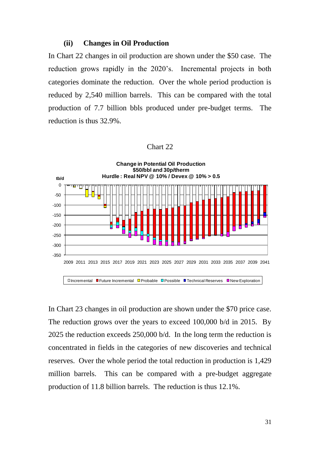#### **(ii) Changes in Oil Production**

In Chart 22 changes in oil production are shown under the \$50 case. The reduction grows rapidly in the 2020's. Incremental projects in both categories dominate the reduction. Over the whole period production is reduced by 2,540 million barrels. This can be compared with the total production of 7.7 billion bbls produced under pre-budget terms. The reduction is thus 32.9%.

#### Chart 22



In Chart 23 changes in oil production are shown under the \$70 price case. The reduction grows over the years to exceed 100,000 b/d in 2015. By 2025 the reduction exceeds 250,000 b/d. In the long term the reduction is concentrated in fields in the categories of new discoveries and technical reserves. Over the whole period the total reduction in production is 1,429 million barrels. This can be compared with a pre-budget aggregate production of 11.8 billion barrels. The reduction is thus 12.1%.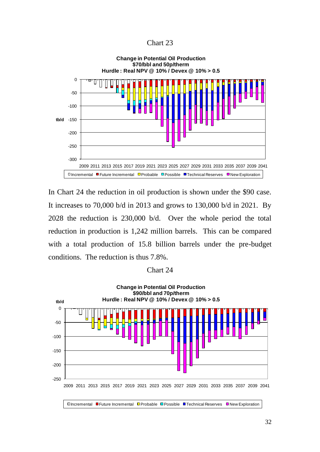Chart 23



In Chart 24 the reduction in oil production is shown under the \$90 case. It increases to 70,000 b/d in 2013 and grows to 130,000 b/d in 2021. By 2028 the reduction is 230,000 b/d. Over the whole period the total reduction in production is 1,242 million barrels. This can be compared with a total production of 15.8 billion barrels under the pre-budget conditions. The reduction is thus 7.8%.

| Chart 24 |
|----------|
|----------|

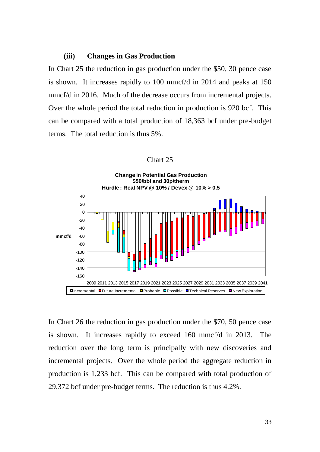#### **(iii) Changes in Gas Production**

In Chart 25 the reduction in gas production under the \$50, 30 pence case is shown. It increases rapidly to 100 mmcf/d in 2014 and peaks at 150 mmcf/d in 2016. Much of the decrease occurs from incremental projects. Over the whole period the total reduction in production is 920 bcf. This can be compared with a total production of 18,363 bcf under pre-budget terms. The total reduction is thus 5%.

| Chart 25 |  |
|----------|--|
|----------|--|



In Chart 26 the reduction in gas production under the \$70, 50 pence case is shown. It increases rapidly to exceed 160 mmcf/d in 2013. The reduction over the long term is principally with new discoveries and incremental projects. Over the whole period the aggregate reduction in production is 1,233 bcf. This can be compared with total production of 29,372 bcf under pre-budget terms. The reduction is thus 4.2%.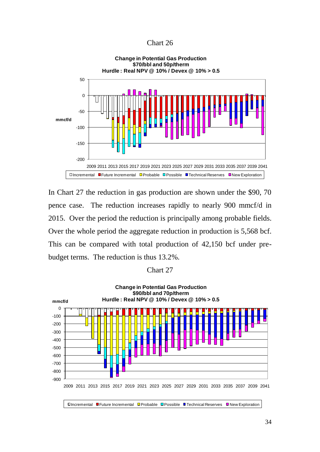#### Chart 26



In Chart 27 the reduction in gas production are shown under the \$90, 70 pence case. The reduction increases rapidly to nearly 900 mmcf/d in 2015. Over the period the reduction is principally among probable fields. Over the whole period the aggregate reduction in production is 5,568 bcf. This can be compared with total production of 42,150 bcf under prebudget terms. The reduction is thus 13.2%.

#### Chart 27

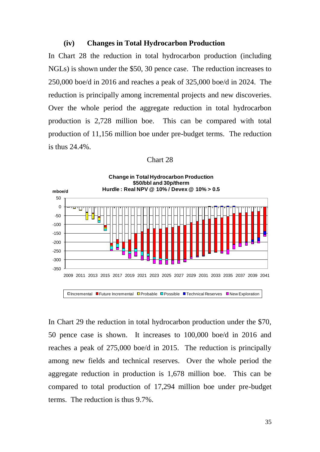#### **(iv) Changes in Total Hydrocarbon Production**

In Chart 28 the reduction in total hydrocarbon production (including NGLs) is shown under the \$50, 30 pence case. The reduction increases to 250,000 boe/d in 2016 and reaches a peak of 325,000 boe/d in 2024. The reduction is principally among incremental projects and new discoveries. Over the whole period the aggregate reduction in total hydrocarbon production is 2,728 million boe. This can be compared with total production of 11,156 million boe under pre-budget terms. The reduction is thus 24.4%.

| Chart 28 |  |
|----------|--|
|----------|--|



In Chart 29 the reduction in total hydrocarbon production under the \$70, 50 pence case is shown. It increases to 100,000 boe/d in 2016 and reaches a peak of 275,000 boe/d in 2015. The reduction is principally among new fields and technical reserves. Over the whole period the aggregate reduction in production is 1,678 million boe. This can be compared to total production of 17,294 million boe under pre-budget terms. The reduction is thus 9.7%.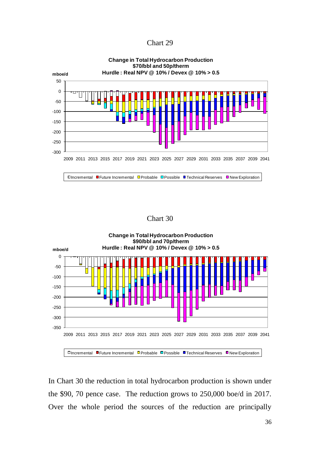| Chart 29 |  |
|----------|--|
|----------|--|



Chart 30



In Chart 30 the reduction in total hydrocarbon production is shown under the \$90, 70 pence case. The reduction grows to 250,000 boe/d in 2017. Over the whole period the sources of the reduction are principally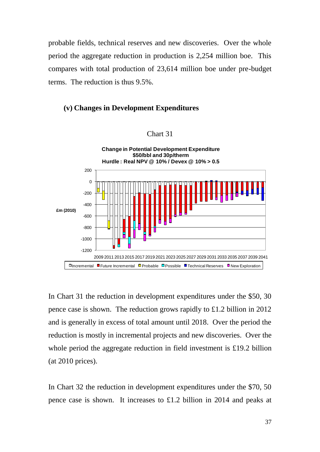probable fields, technical reserves and new discoveries. Over the whole period the aggregate reduction in production is 2,254 million boe. This compares with total production of 23,614 million boe under pre-budget terms. The reduction is thus 9.5%.

#### **(v) Changes in Development Expenditures**



Chart 31

In Chart 31 the reduction in development expenditures under the \$50, 30 pence case is shown. The reduction grows rapidly to £1.2 billion in 2012 and is generally in excess of total amount until 2018. Over the period the reduction is mostly in incremental projects and new discoveries. Over the whole period the aggregate reduction in field investment is £19.2 billion (at 2010 prices).

In Chart 32 the reduction in development expenditures under the \$70, 50 pence case is shown. It increases to £1.2 billion in 2014 and peaks at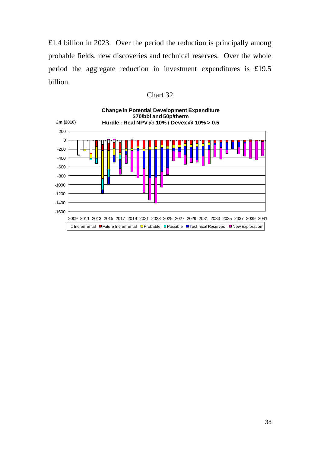£1.4 billion in 2023. Over the period the reduction is principally among probable fields, new discoveries and technical reserves. Over the whole period the aggregate reduction in investment expenditures is £19.5 billion.

| Chart 32 |  |
|----------|--|
|----------|--|

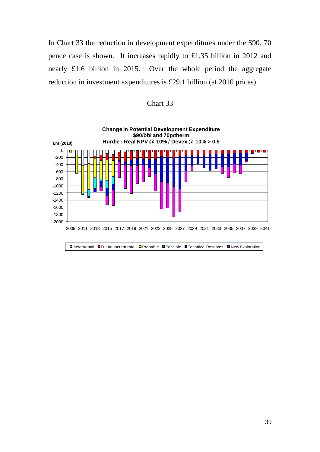In Chart 33 the reduction in development expenditures under the \$90, 70 pence case is shown. It increases rapidly to £1.35 billion in 2012 and nearly £1.6 billion in 2015. Over the whole period the aggregate reduction in investment expenditures is £29.1 billion (at 2010 prices).



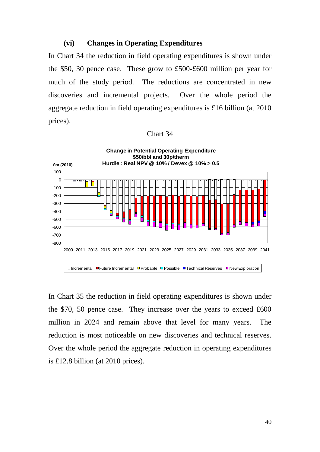#### **(vi) Changes in Operating Expenditures**

In Chart 34 the reduction in field operating expenditures is shown under the \$50, 30 pence case. These grow to £500-£600 million per year for much of the study period. The reductions are concentrated in new discoveries and incremental projects. Over the whole period the aggregate reduction in field operating expenditures is £16 billion (at 2010 prices).

#### Chart 34



In Chart 35 the reduction in field operating expenditures is shown under the \$70, 50 pence case. They increase over the years to exceed £600 million in 2024 and remain above that level for many years. The reduction is most noticeable on new discoveries and technical reserves. Over the whole period the aggregate reduction in operating expenditures is £12.8 billion (at 2010 prices).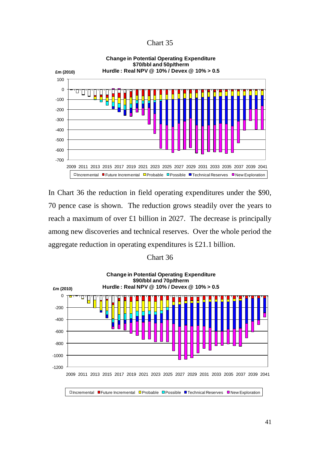Chart 35



In Chart 36 the reduction in field operating expenditures under the \$90, 70 pence case is shown. The reduction grows steadily over the years to reach a maximum of over £1 billion in 2027. The decrease is principally among new discoveries and technical reserves. Over the whole period the aggregate reduction in operating expenditures is £21.1 billion.

#### Chart 36

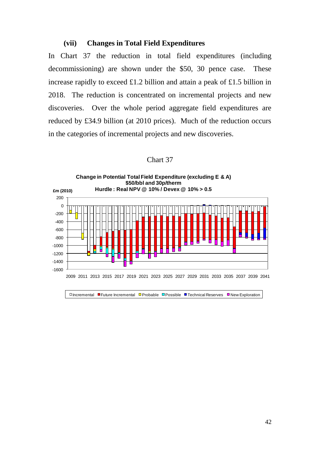#### **(vii) Changes in Total Field Expenditures**

In Chart 37 the reduction in total field expenditures (including decommissioning) are shown under the \$50, 30 pence case. These increase rapidly to exceed £1.2 billion and attain a peak of £1.5 billion in 2018. The reduction is concentrated on incremental projects and new discoveries. Over the whole period aggregate field expenditures are reduced by £34.9 billion (at 2010 prices). Much of the reduction occurs in the categories of incremental projects and new discoveries.

#### Chart 37

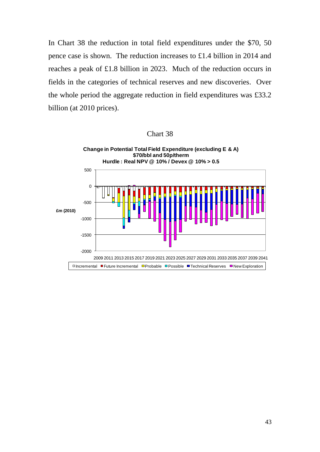In Chart 38 the reduction in total field expenditures under the \$70, 50 pence case is shown. The reduction increases to £1.4 billion in 2014 and reaches a peak of £1.8 billion in 2023. Much of the reduction occurs in fields in the categories of technical reserves and new discoveries. Over the whole period the aggregate reduction in field expenditures was £33.2 billion (at 2010 prices).



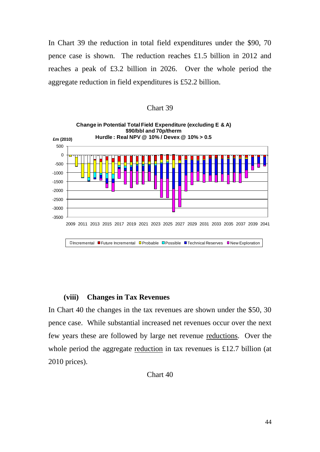In Chart 39 the reduction in total field expenditures under the \$90, 70 pence case is shown. The reduction reaches £1.5 billion in 2012 and reaches a peak of £3.2 billion in 2026. Over the whole period the aggregate reduction in field expenditures is £52.2 billion.





#### **(viii) Changes in Tax Revenues**

In Chart 40 the changes in the tax revenues are shown under the \$50, 30 pence case. While substantial increased net revenues occur over the next few years these are followed by large net revenue reductions. Over the whole period the aggregate reduction in tax revenues is £12.7 billion (at 2010 prices).

Chart 40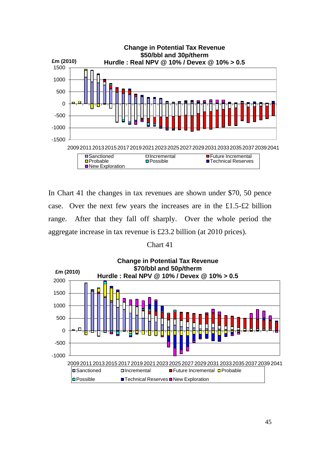

In Chart 41 the changes in tax revenues are shown under \$70, 50 pence case. Over the next few years the increases are in the £1.5-£2 billion range. After that they fall off sharply. Over the whole period the aggregate increase in tax revenue is £23.2 billion (at 2010 prices).

#### Chart 41

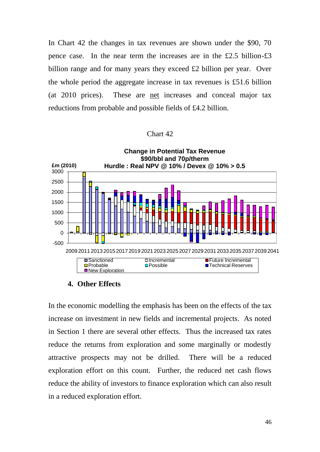In Chart 42 the changes in tax revenues are shown under the \$90, 70 pence case. In the near term the increases are in the £2.5 billion-£3 billion range and for many years they exceed £2 billion per year. Over the whole period the aggregate increase in tax revenues is £51.6 billion (at 2010 prices). These are net increases and conceal major tax reductions from probable and possible fields of £4.2 billion.

### Chart 42



#### **4. Other Effects**

In the economic modelling the emphasis has been on the effects of the tax increase on investment in new fields and incremental projects. As noted in Section 1 there are several other effects. Thus the increased tax rates reduce the returns from exploration and some marginally or modestly attractive prospects may not be drilled. There will be a reduced exploration effort on this count. Further, the reduced net cash flows reduce the ability of investors to finance exploration which can also result in a reduced exploration effort.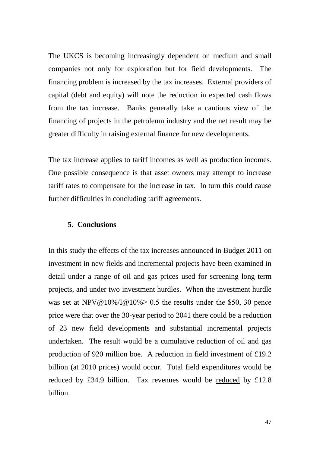The UKCS is becoming increasingly dependent on medium and small companies not only for exploration but for field developments. The financing problem is increased by the tax increases. External providers of capital (debt and equity) will note the reduction in expected cash flows from the tax increase. Banks generally take a cautious view of the financing of projects in the petroleum industry and the net result may be greater difficulty in raising external finance for new developments.

The tax increase applies to tariff incomes as well as production incomes. One possible consequence is that asset owners may attempt to increase tariff rates to compensate for the increase in tax. In turn this could cause further difficulties in concluding tariff agreements.

#### **5. Conclusions**

In this study the effects of the tax increases announced in Budget 2011 on investment in new fields and incremental projects have been examined in detail under a range of oil and gas prices used for screening long term projects, and under two investment hurdles. When the investment hurdle was set at NPV@10%/I@10% $\geq$  0.5 the results under the \$50, 30 pence price were that over the 30-year period to 2041 there could be a reduction of 23 new field developments and substantial incremental projects undertaken. The result would be a cumulative reduction of oil and gas production of 920 million boe. A reduction in field investment of £19.2 billion (at 2010 prices) would occur. Total field expenditures would be reduced by £34.9 billion. Tax revenues would be reduced by £12.8 billion.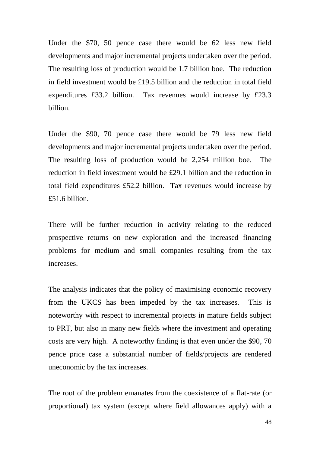Under the \$70, 50 pence case there would be 62 less new field developments and major incremental projects undertaken over the period. The resulting loss of production would be 1.7 billion boe. The reduction in field investment would be £19.5 billion and the reduction in total field expenditures £33.2 billion. Tax revenues would increase by £23.3 billion.

Under the \$90, 70 pence case there would be 79 less new field developments and major incremental projects undertaken over the period. The resulting loss of production would be 2,254 million boe. The reduction in field investment would be £29.1 billion and the reduction in total field expenditures £52.2 billion. Tax revenues would increase by £51.6 billion.

There will be further reduction in activity relating to the reduced prospective returns on new exploration and the increased financing problems for medium and small companies resulting from the tax increases.

The analysis indicates that the policy of maximising economic recovery from the UKCS has been impeded by the tax increases. This is noteworthy with respect to incremental projects in mature fields subject to PRT, but also in many new fields where the investment and operating costs are very high. A noteworthy finding is that even under the \$90, 70 pence price case a substantial number of fields/projects are rendered uneconomic by the tax increases.

The root of the problem emanates from the coexistence of a flat-rate (or proportional) tax system (except where field allowances apply) with a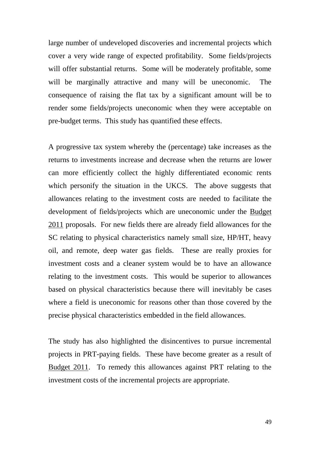large number of undeveloped discoveries and incremental projects which cover a very wide range of expected profitability. Some fields/projects will offer substantial returns. Some will be moderately profitable, some will be marginally attractive and many will be uneconomic. The consequence of raising the flat tax by a significant amount will be to render some fields/projects uneconomic when they were acceptable on pre-budget terms. This study has quantified these effects.

A progressive tax system whereby the (percentage) take increases as the returns to investments increase and decrease when the returns are lower can more efficiently collect the highly differentiated economic rents which personify the situation in the UKCS. The above suggests that allowances relating to the investment costs are needed to facilitate the development of fields/projects which are uneconomic under the Budget 2011 proposals. For new fields there are already field allowances for the SC relating to physical characteristics namely small size, HP/HT, heavy oil, and remote, deep water gas fields. These are really proxies for investment costs and a cleaner system would be to have an allowance relating to the investment costs. This would be superior to allowances based on physical characteristics because there will inevitably be cases where a field is uneconomic for reasons other than those covered by the precise physical characteristics embedded in the field allowances.

The study has also highlighted the disincentives to pursue incremental projects in PRT-paying fields. These have become greater as a result of Budget 2011. To remedy this allowances against PRT relating to the investment costs of the incremental projects are appropriate.